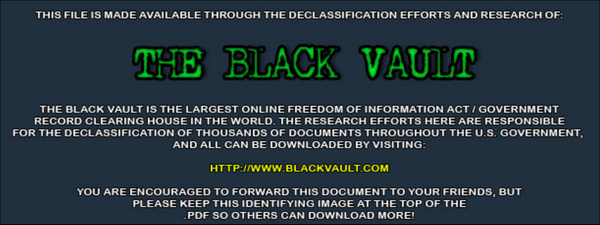THIS FILE IS MADE AVAILABLE THROUGH THE DECLASSIFICATION EFFORTS AND RESEARCH OF:



THE BLACK VAULT IS THE LARGEST ONLINE FREEDOM OF INFORMATION ACT / GOVERNMENT RECORD CLEARING HOUSE IN THE WORLD. THE RESEARCH EFFORTS HERE ARE RESPONSIBLE FOR THE DECLASSIFICATION OF THOUSANDS OF DOCUMENTS THROUGHOUT THE U.S. GOVERNMENT, AND ALL CAN BE DOWNLOADED BY VISITING:

**HTTP://WWW.BLACKVAULT.COM** 

YOU ARE ENCOURAGED TO FORWARD THIS DOCUMENT TO YOUR FRIENDS, BUT PLEASE KEEP THIS IDENTIFYING IMAGE AT THE TOP OF THE PDF SO OTHERS CAN DOWNLOAD MORE!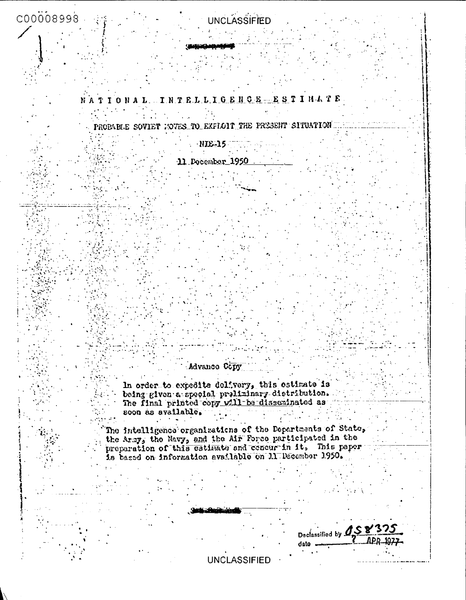# $COOOO8998$

# **UNCLASSIFIED**

NATIONAL TRTELLIGENCE STINATE

PROBABLE SOVIET NOVES TO EXPLOIT THE PRESENT SITUATION

NIE-15

11 December 1950

### Advance Copy

In order to expedite delivery, this estimate is<br>being given a special preliminary distribution.<br>The final printed copy will be disseminated as soon as available.

The intelligence organizations of the Departments of State, the Army, the Navy, and the Air Force participated in the preparation of this estimate and concur in it. This paper is based on information available on 11 December 1950.

Declassified by **158** date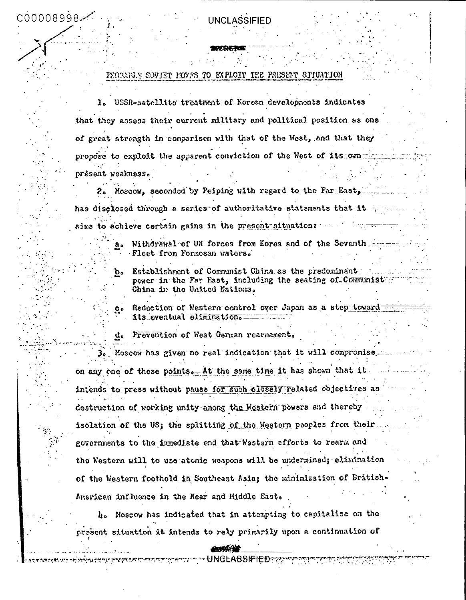### FEORABLE SOVIET HOVES TO EXPLOIT THE PRESENT SITUATION

1. USSR-satellito treatment of Korean developments indicates that they assess their current military and political position as one of great strength in comparison with that of the West, and that they propose to exploit the apparent conviction of the West of its can présent weakness.

2. Moscow, seconded by Peiping with regard to the Far East, has disclosed through a series of authoritative statements that it aims to achieve certain gains in the present situation:

> Withdrawal of UN forces from Korea and of the Seventh forms Fleet from Formosan waters.

Establishment of Communist China as the predominant power in the Far East, including the seating of Communist China in the United Nations.

Reduction of Western-control over Japan as a step toward its\_eventual elimination.

Prevention of West Cerman rearmament. d.

 $\mathbf{a}$ .

b.

 $Q<sub>o</sub>$ 

3. Moseow has given no real indication that it will compromiss. on any one of these points. At the same time it has shown that it intends to press without pause for such olosely related objectives as destruction of working unity among the Western powers and thereby isolation of the US; the splitting of the Western peoples from their. governments to the immediate end that Western efforts to rearm and the Western will to use atomic weapons will be undermined; elimination of the Western foothold in Southeast Asia; the minimization of British-American influence in the Near and Middle East.

h. Noscow has indicated that in attempting to capitalize on the present situation it intends to rely primarily upon a continuation of

UNGLA8SIFIED???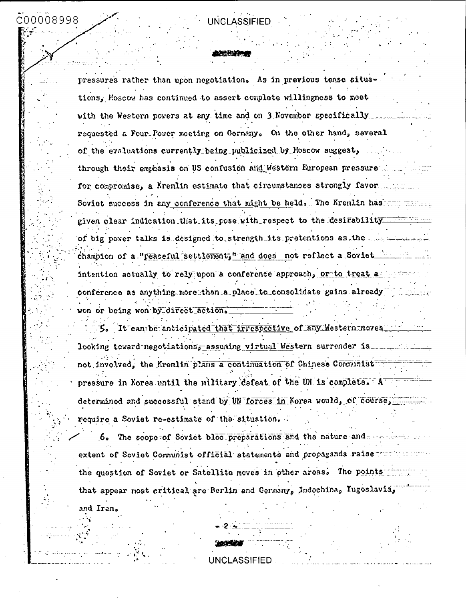## C00008998

## UNCLASSIFIED

pressures rather than upon negotiation. As in previous tense situations, Moscow has continued to assert complete willingness to meet with the Western povers at any time and on 3 November specifically .... requested a Four-Power meeting on Germany. On the other hand, several of the evaluations currently being publicized by Moscow suggest, through their emphasis on US confusion and Western European pressure for compromise, a Kremlin estimate that circumstances strongly favor Soviet success in any conference that might be held, The Kremlin has the manuscript given clear indication that its pose with respect to the desirability of big power talks is designed to strength its pretentions as the communication champion of a "peaceful settlement," and does not reflect a Soviet intention actually to rely upon a conference approach, or to treat a conference as anything more than a place to consolidate gains already won or being won by direct action.

5. It can be anticipated that irrespective of any Mestern moves... looking toward negotiations, assuming virtual Western surrender is not involved, the Kremlin plans a continuation of Chinese Communist pressure in Xorea until the military defeat of the UN is complete. A was not as determined and successful stand by UN forces in Korea would, of course, require a Soviet re-estimate of the situation.

6. The scope of Soviet bloc preparations and the nature and extent of Soviet Communist official statements and propaganda raise the question of Soviet or Satellite moves in other areas. The points that appear most critical are Berlin and Cermany, Indochina, Yugoslavia,

and Iran.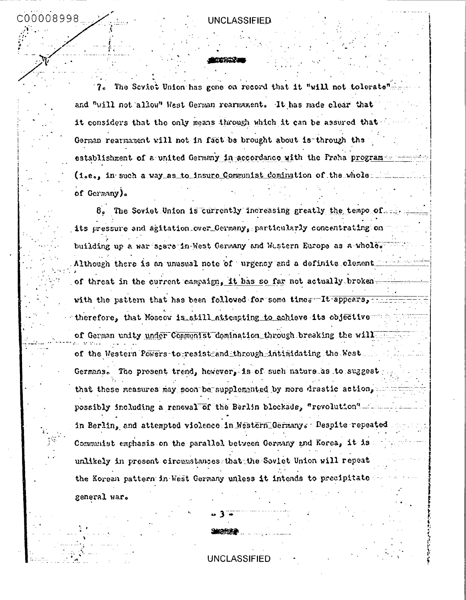C00008998

7. The Seviet Union has gene on record that it "will not tolerate and "will not allow" West German rearmament. It has made clear that it considers that the only means through which it can be assured that German rearmament will not in fact be brought about is through the establishment of a united Germany in accordance with the Fraha program-(i,e., in such a way as to insure Communist comination of the whole... of Germany).

8. The Soviet Union is currently increasing greatly the tempo of. its pressure and agitation over Germany, particularly concentrating on building up a war seare in West Germany and Western Europe as a whole. Although there is an unusual note of urgency and a definite clement in of threat in the current campaign, it has so far not actually brokenwith the pattern that has been followed for some times It appears, therefore, that Moscow is still attempting to achieve its objective of German unity under Communist domination through breaking the will of the Western Powers-to-resist-and through-intimidating the West. Germans. The present trend, however, is of such nature as to suggest that these measures may soon be supplemented by more drastic action, possibly including a renewal of the Berlin blockade, "revolution" in Berlin, and attempted violence in Nestern Germanys Despite repeated Communist emphasis on the parallel between Germany and Korea, it is unlikely in present circumstances that the Soviet Union will repeat the Korean pattern in West Germany unless it intends to precipitate general war.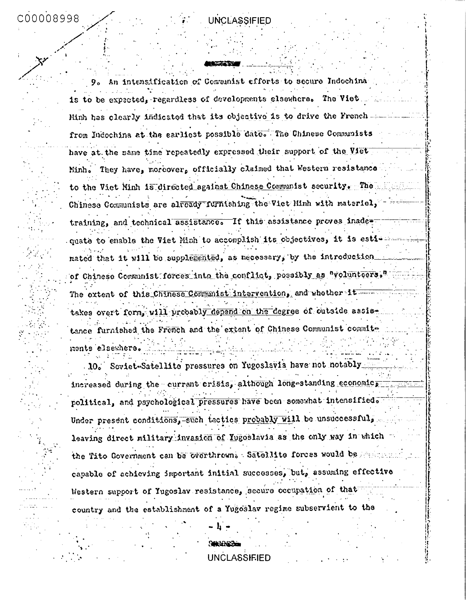An intensification of Communist efforts to secure Indochina  $9<sub>o</sub>$ is to be expected, regardless of developments elsewhere. The Viet. Minh has clearly indicated that its objective is to drive the Frenchfrom Indochina at the earliest possible date. The Chinese Communists have at the same time repeatedly expressed their support of the Viet Minh. They have, moreover, officially claimed that Western resistance to the Viet Minh is directed against Chinese Communist security. The Chinese Communists are already furnishing the Viet Minh with material, training, and technical assistance. If this assistance proves inadequate to enable the Viet Minh to accomplish its objectives, it is estirated that it will be supplemented, as necessary, by the introduction of Chinese Communist forces into the conflict, possibly as "volunteers." The extent of this Chinese Communist intervention, and whether it takes overt form, will probably depend on the degree of outside assistance furnished the French and the extent of Chinese Communist commitments elsewhere.

10. Scyiet-Satellite pressures on Yugoslavia have not notably increased during the current crisis, although long-standing economic, political, and psychological pressures have been somewhat intensified. Under present conditions, such tactics probably will be unsuccessful, leaving direct military invasion of Yugoslavia as the only way in which the Tito Government can be overthrown. Satellite forces would be sensors capable of achieving important initial successes, but, assuming effective Western support of Yugoslav resistance, secure occupation of that country and the establishment of a Yugoslav regime subservient to the

**UNCLASSIFIED** 

Ķ.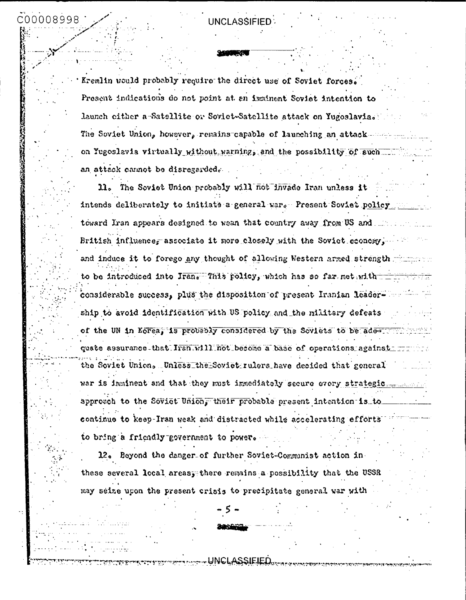C00008998

Kremlin would probably require the direct use of Soviet forces. Present indications do not point at an imminent Soviet intention to launch either a-Satellite or Soviet-Satellite attack on Yugoslavia. The Soviet Union, however, remains-capable of launching an attack on Yugoslavia virtually without warning, and the possibility of such an attack cannot be disregarded.

11. The Soviet Union probably will not invade Iran unless it intends deliberately to initiate a general war. Present Soviet policy toward Iran appears designed to wean that country away from US and ... British influence, associate it more closely with the Soviet economy, and induce it to forego any thought of allowing Western armed strength with the to be introduced into Iran. This policy, which has so far met with = considerable success, plus the disposition of present Iranian leader.  $\blacksquare$ ship to avoid identification with US policy and the military defeats of the UN in Korea, is probably considered by the Soviets to be addent quate assurance-that Iran will not become a base of operations against run the Soviet Union. Unless the Soviet rulers have decided that general approach to the Soviet Union, their probable present intention is to continue to keep-Iran weak and distracted while accelerating efforts to bring a friendly government to power.

12. Beyond the danger of further Soviet-Communist action in these several local areasy there remains a possibility that the USSR may seize upon the present crisis to precipitate general war with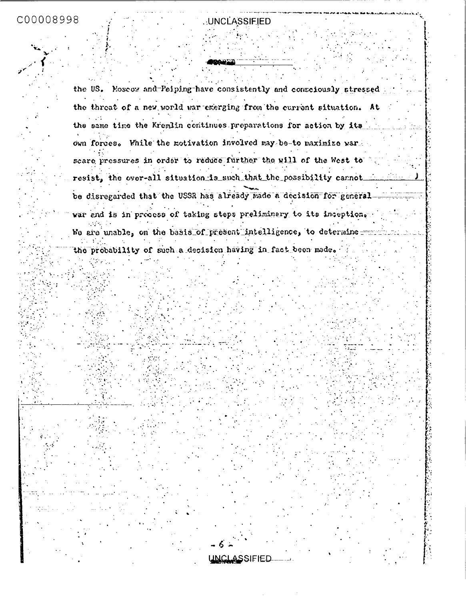C00008998

## UNCLASSIFIED

the US. Moscow and Peiping have consistently and consciously stressed the threat of a new world war emerging from the current situation. At the same time the Kremlin continues preparations for action by its own forces. While the motivation involved may be-to maximize war. scare pressures in order to reduce further the will of the West to resist, the over-all situation is such that the possibility cannot be disregarded that the USSR has already made a decision for general war end is in process of taking steps preliminary to its inception. We are unable, on the basis of present intelligence, to determine

the probability of such a decision having in fact been made.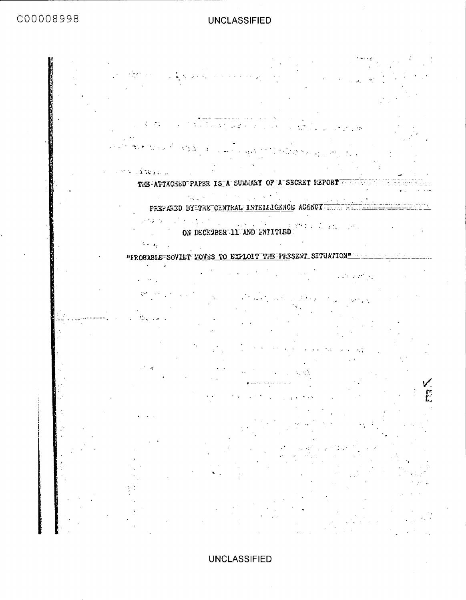C00008998

### **UNCLASSIFIED**

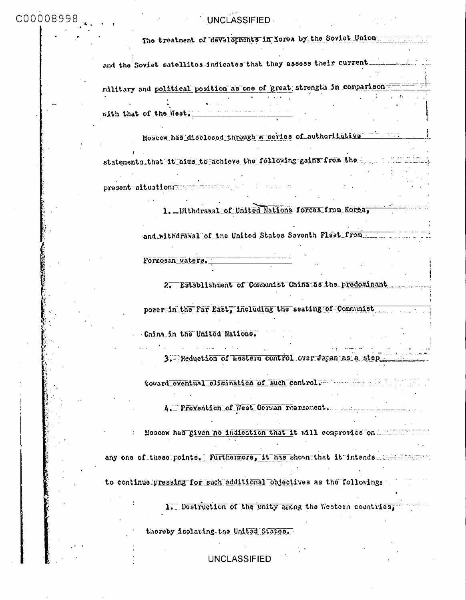| C00008998 | UNCLASSIFIED                                                           |
|-----------|------------------------------------------------------------------------|
|           | The treatment of developments in Xorea by the Soviet Union-            |
|           | and the Soviet satellites-indicates that they assess their current.    |
|           | military and political position as one of great strength in comparison |
|           | with that of the West.                                                 |
|           | Moscow has disclosed through a ceries of authoritative                 |
|           | statements_that it hims to achieve the following gains from the second |
|           | present situation: when the sea                                        |
|           | 1. Mithdrawal of United Nations forces from Korea,                     |
|           | and withdrawal of the United States Seventh Plest from The Time        |
|           | Formosan waters.                                                       |
|           | 2. Establishment of Communist China as the predominant                 |
|           | power-in the Far East, including the seating of Communist              |
|           | China in the United Nations.                                           |
|           | 3. Reduction of hestern control over Japan as a step                   |
|           | toward eventual elimination of such control. The manual state of       |
|           | 4. Prevention of West Cerman reannament.                               |
|           | Moscow has given no indication that it will compromise on Minimum of   |
|           | any one of these points. Furthermore, it has shown that it intends     |
|           | to continual pressing for such additional objectives as the following: |
|           | 1. Destruction of the unity among the Western countries,               |
|           | thereby isolating the United States.                                   |
|           | <b>UNCLASSIFIED</b>                                                    |

 $\sim 0.00$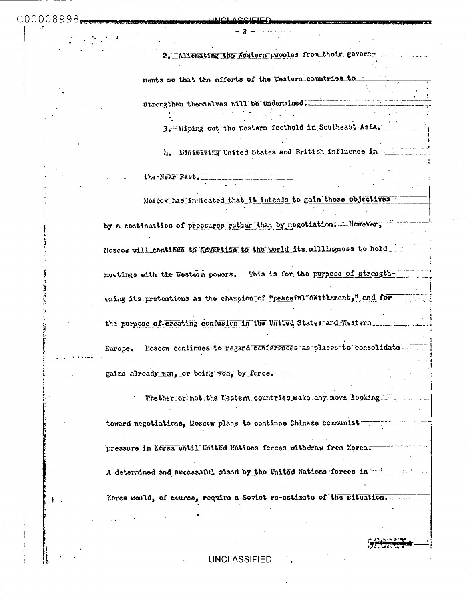2. Allenating the Mestern peoples from their governments so that the efforts of the Western countries to strongthen themselves will be undernined. 3. Wiping out the Western foothold in Southeast Asia.

h. Whimizing United States and British influence in which is

the Near Fast.

Moscow has indicated that it intends to gain these objectives

by a continuation of pressures rather than by negotiation. However, Moscow will\_continue to advertise to the world its willingness to hold meetings with the Western powers. This is for the purpose of strengthening its pretentions as the champion of "peaceful settlement," and for Moscow continues to regard conferences as places to consolidate Europe.

gains already non, or being won, by force.

Thether or not the Western countries make any move looking toward negotiations, Moscow plans to continue Chinese communist pressure in Korea until United Nations forces withdraw from Korea. A determined and successful stand by the United Nations forces in Fig. Korea would, of course, require a Soviet re-estimate of the situation.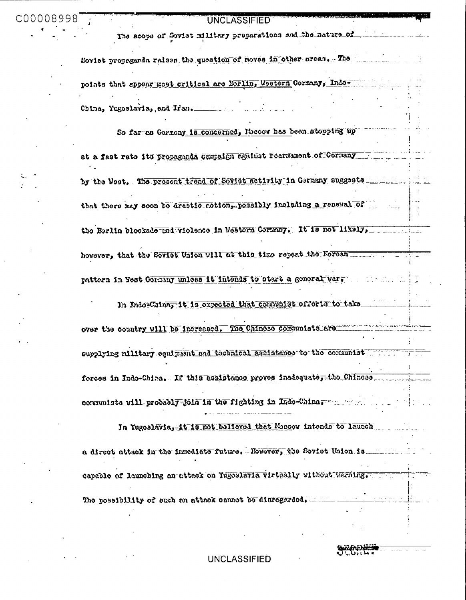The scope of Soviet military preparations and fiel nature of

Soviet propaganda raises the question of moves in other areas. The manuscript points that appear most critical are Berlin, Western Cormany, Indo-China, Yugoslavia, and Iran.

So far as Cormany is concerned, Moscow has been atopping up at a fast rate its propagands cempaign against rearmament of Cormany by the West. The present trend of Soviet activity in Germany suggests ........... that there may soon be drastic cotion, rossibly including a renewal of the Berlin blockade and violence in Western Cernary. It is not likely, however, that the Soviet Union will at this time repeat the Forean pattern in West Cornery unless it intends to start a general war.

In Indo-China, it is expected that communist efforts to take over the country will be increased. The Chinese communists are supplying military equipment and tecenical assistance to the communist forces in Indo=China, If this assistance proves inadequate, the Chinese communists will probably join in the fighting in Indo-China, where the

In Yugoslavia, it is not believed that Moscow intends to launch a direct attack in the inmediate future. Mowever, the Soviet Union is ...... capable of launching an attack on Yugoslavia virtually without warning. The possibility of such an attack cannot be disregarded.